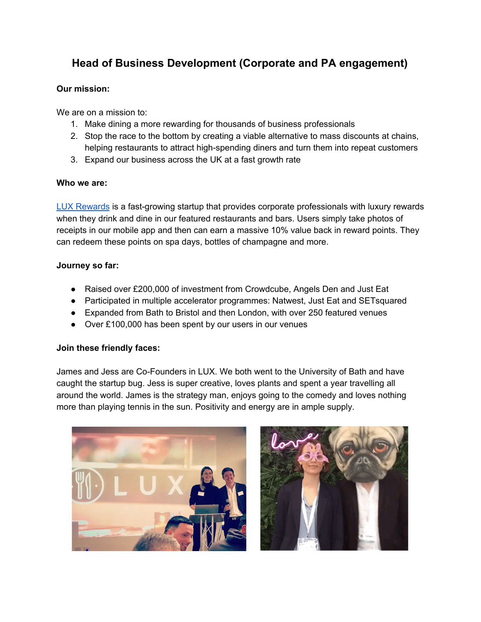# **Head of Business Development (Corporate and PA engagement)**

## **Our mission:**

We are on a mission to:

- 1. Make dining a more rewarding for thousands of business professionals
- 2. Stop the race to the bottom by creating a viable alternative to mass discounts at chains, helping restaurants to attract high-spending diners and turn them into repeat customers
- 3. Expand our business across the UK at a fast growth rate

## **Who we are:**

LUX [Rewards](http://www.luxrewards.co.uk/) is a fast-growing startup that provides corporate professionals with luxury rewards when they drink and dine in our featured restaurants and bars. Users simply take photos of receipts in our mobile app and then can earn a massive 10% value back in reward points. They can redeem these points on spa days, bottles of champagne and more.

## **Journey so far:**

- Raised over £200,000 of investment from Crowdcube, Angels Den and Just Eat
- Participated in multiple accelerator programmes: Natwest, Just Eat and SETsquared
- Expanded from Bath to Bristol and then London, with over 250 featured venues
- Over £100,000 has been spent by our users in our venues

# **Join these friendly faces:**

James and Jess are Co-Founders in LUX. We both went to the University of Bath and have caught the startup bug. Jess is super creative, loves plants and spent a year travelling all around the world. James is the strategy man, enjoys going to the comedy and loves nothing more than playing tennis in the sun. Positivity and energy are in ample supply.